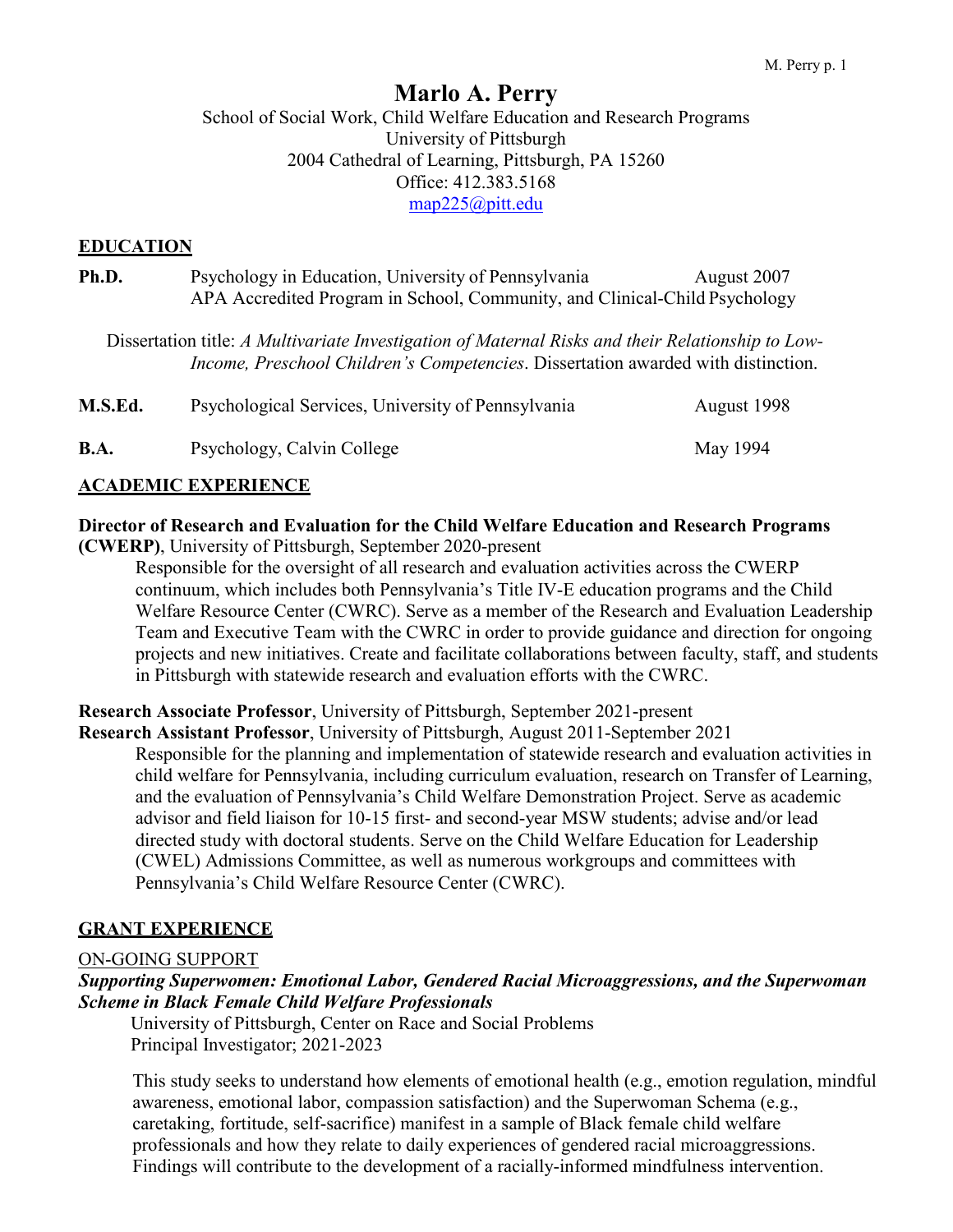# **Marlo A. Perry**

School of Social Work, Child Welfare Education and Research Programs University of Pittsburgh 2004 Cathedral of Learning, Pittsburgh, PA 15260 Office: 412.383.5168 [map225@pitt.edu](mailto:map225@pitt.edu)

#### **EDUCATION**

| Ph.D.       | Psychology in Education, University of Pennsylvania<br>APA Accredited Program in School, Community, and Clinical-Child Psychology                                                             | August 2007 |
|-------------|-----------------------------------------------------------------------------------------------------------------------------------------------------------------------------------------------|-------------|
|             | Dissertation title: A Multivariate Investigation of Maternal Risks and their Relationship to Low-<br><i>Income, Preschool Children's Competencies. Dissertation awarded with distinction.</i> |             |
| M.S.Ed.     | Psychological Services, University of Pennsylvania                                                                                                                                            | August 1998 |
| <b>B.A.</b> | Psychology, Calvin College                                                                                                                                                                    | May 1994    |

#### **ACADEMIC EXPERIENCE**

#### **Director of Research and Evaluation for the Child Welfare Education and Research Programs (CWERP)**, University of Pittsburgh, September 2020-present

Responsible for the oversight of all research and evaluation activities across the CWERP continuum, which includes both Pennsylvania's Title IV-E education programs and the Child Welfare Resource Center (CWRC). Serve as a member of the Research and Evaluation Leadership Team and Executive Team with the CWRC in order to provide guidance and direction for ongoing projects and new initiatives. Create and facilitate collaborations between faculty, staff, and students in Pittsburgh with statewide research and evaluation efforts with the CWRC.

**Research Associate Professor**, University of Pittsburgh, September 2021-present **Research Assistant Professor**, University of Pittsburgh, August 2011-September 2021

Responsible for the planning and implementation of statewide research and evaluation activities in child welfare for Pennsylvania, including curriculum evaluation, research on Transfer of Learning, and the evaluation of Pennsylvania's Child Welfare Demonstration Project. Serve as academic advisor and field liaison for 10-15 first- and second-year MSW students; advise and/or lead directed study with doctoral students. Serve on the Child Welfare Education for Leadership (CWEL) Admissions Committee, as well as numerous workgroups and committees with Pennsylvania's Child Welfare Resource Center (CWRC).

### **GRANT EXPERIENCE**

#### ON-GOING SUPPORT

#### *Supporting Superwomen: Emotional Labor, Gendered Racial Microaggressions, and the Superwoman Scheme in Black Female Child Welfare Professionals*

 University of Pittsburgh, Center on Race and Social Problems Principal Investigator; 2021-2023

This study seeks to understand how elements of emotional health (e.g., emotion regulation, mindful awareness, emotional labor, compassion satisfaction) and the Superwoman Schema (e.g., caretaking, fortitude, self-sacrifice) manifest in a sample of Black female child welfare professionals and how they relate to daily experiences of gendered racial microaggressions. Findings will contribute to the development of a racially-informed mindfulness intervention.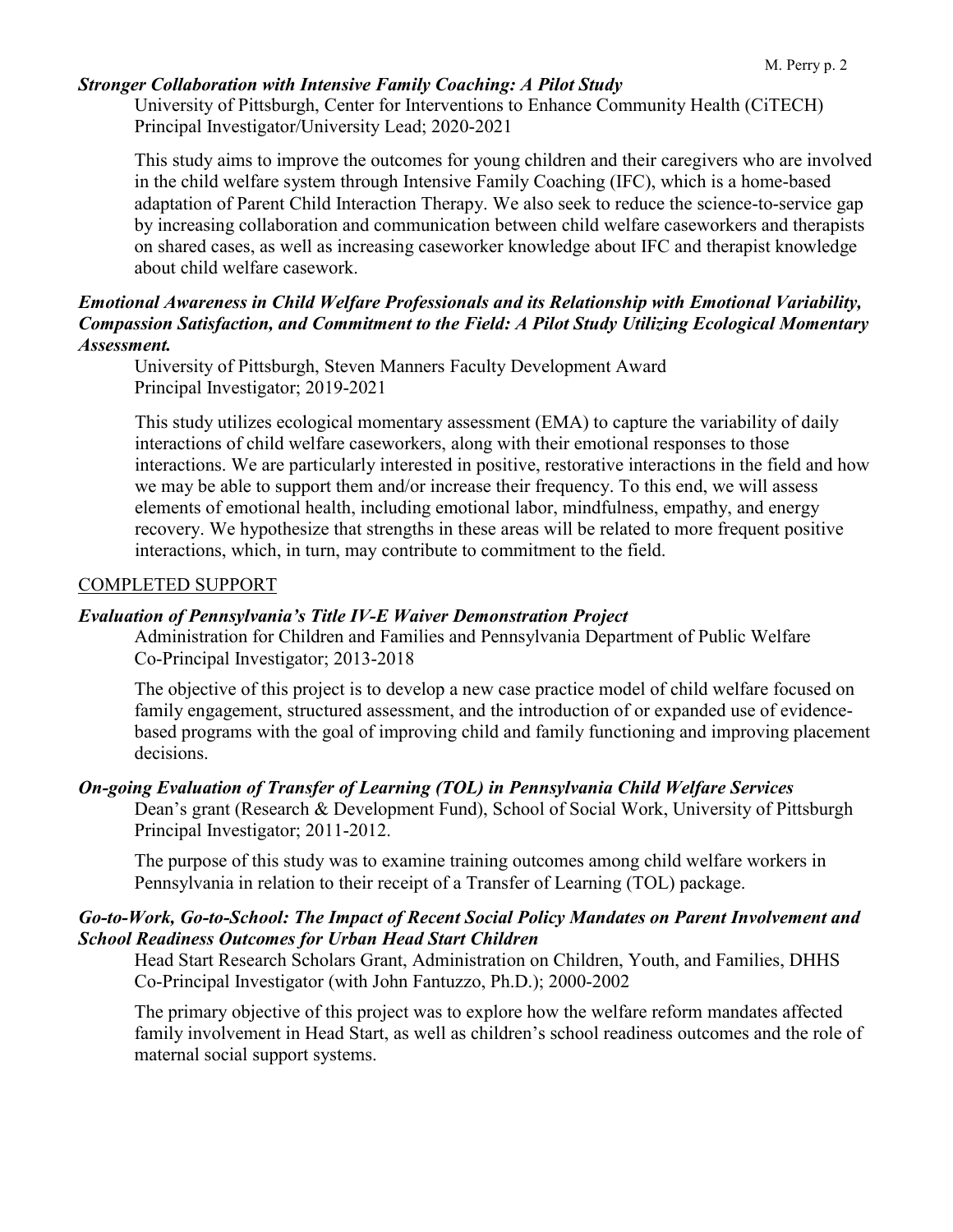#### *Stronger Collaboration with Intensive Family Coaching: A Pilot Study*

University of Pittsburgh, Center for Interventions to Enhance Community Health (CiTECH) Principal Investigator/University Lead; 2020-2021

This study aims to improve the outcomes for young children and their caregivers who are involved in the child welfare system through Intensive Family Coaching (IFC), which is a home-based adaptation of Parent Child Interaction Therapy. We also seek to reduce the science-to-service gap by increasing collaboration and communication between child welfare caseworkers and therapists on shared cases, as well as increasing caseworker knowledge about IFC and therapist knowledge about child welfare casework.

#### *Emotional Awareness in Child Welfare Professionals and its Relationship with Emotional Variability, Compassion Satisfaction, and Commitment to the Field: A Pilot Study Utilizing Ecological Momentary Assessment.*

University of Pittsburgh, Steven Manners Faculty Development Award Principal Investigator; 2019-2021

This study utilizes ecological momentary assessment (EMA) to capture the variability of daily interactions of child welfare caseworkers, along with their emotional responses to those interactions. We are particularly interested in positive, restorative interactions in the field and how we may be able to support them and/or increase their frequency. To this end, we will assess elements of emotional health, including emotional labor, mindfulness, empathy, and energy recovery. We hypothesize that strengths in these areas will be related to more frequent positive interactions, which, in turn, may contribute to commitment to the field.

#### COMPLETED SUPPORT

#### *Evaluation of Pennsylvania's Title IV-E Waiver Demonstration Project*

Administration for Children and Families and Pennsylvania Department of Public Welfare Co-Principal Investigator; 2013-2018

The objective of this project is to develop a new case practice model of child welfare focused on family engagement, structured assessment, and the introduction of or expanded use of evidencebased programs with the goal of improving child and family functioning and improving placement decisions.

#### *On-going Evaluation of Transfer of Learning (TOL) in Pennsylvania Child Welfare Services*

Dean's grant (Research & Development Fund), School of Social Work, University of Pittsburgh Principal Investigator; 2011-2012.

The purpose of this study was to examine training outcomes among child welfare workers in Pennsylvania in relation to their receipt of a Transfer of Learning (TOL) package.

#### *Go-to-Work, Go-to-School: The Impact of Recent Social Policy Mandates on Parent Involvement and School Readiness Outcomes for Urban Head Start Children*

Head Start Research Scholars Grant, Administration on Children, Youth, and Families, DHHS Co-Principal Investigator (with John Fantuzzo, Ph.D.); 2000-2002

The primary objective of this project was to explore how the welfare reform mandates affected family involvement in Head Start, as well as children's school readiness outcomes and the role of maternal social support systems.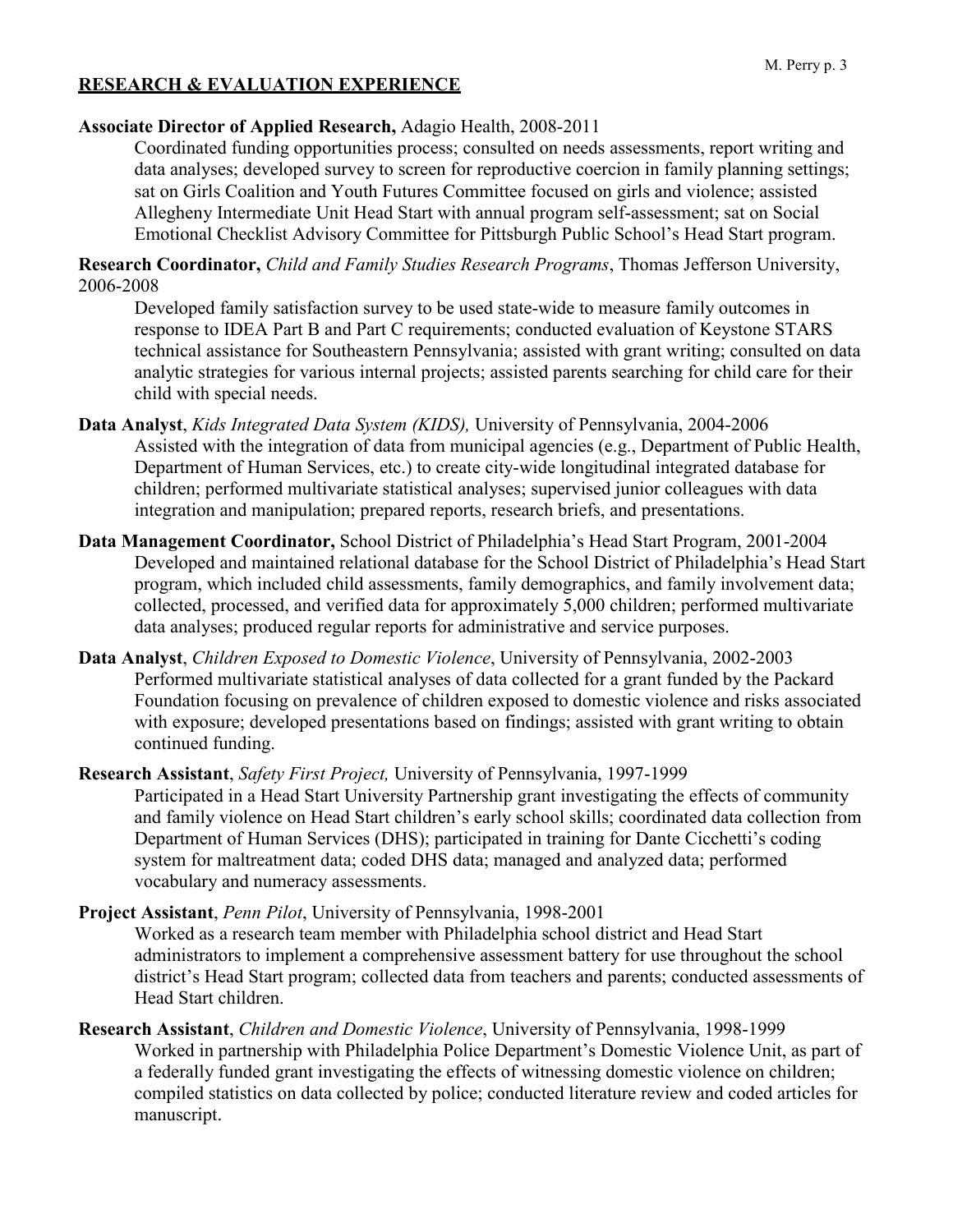# **RESEARCH & EVALUATION EXPERIENCE**

### **Associate Director of Applied Research,** Adagio Health, 2008-2011

Coordinated funding opportunities process; consulted on needs assessments, report writing and data analyses; developed survey to screen for reproductive coercion in family planning settings; sat on Girls Coalition and Youth Futures Committee focused on girls and violence; assisted Allegheny Intermediate Unit Head Start with annual program self-assessment; sat on Social Emotional Checklist Advisory Committee for Pittsburgh Public School's Head Start program.

**Research Coordinator,** *Child and Family Studies Research Programs*, Thomas Jefferson University, 2006-2008

Developed family satisfaction survey to be used state-wide to measure family outcomes in response to IDEA Part B and Part C requirements; conducted evaluation of Keystone STARS technical assistance for Southeastern Pennsylvania; assisted with grant writing; consulted on data analytic strategies for various internal projects; assisted parents searching for child care for their child with special needs.

- **Data Analyst**, *Kids Integrated Data System (KIDS),* University of Pennsylvania, 2004-2006 Assisted with the integration of data from municipal agencies (e.g., Department of Public Health, Department of Human Services, etc.) to create city-wide longitudinal integrated database for children; performed multivariate statistical analyses; supervised junior colleagues with data integration and manipulation; prepared reports, research briefs, and presentations.
- **Data Management Coordinator,** School District of Philadelphia's Head Start Program, 2001-2004 Developed and maintained relational database for the School District of Philadelphia's Head Start program, which included child assessments, family demographics, and family involvement data; collected, processed, and verified data for approximately 5,000 children; performed multivariate data analyses; produced regular reports for administrative and service purposes.
- **Data Analyst**, *Children Exposed to Domestic Violence*, University of Pennsylvania, 2002-2003 Performed multivariate statistical analyses of data collected for a grant funded by the Packard Foundation focusing on prevalence of children exposed to domestic violence and risks associated with exposure; developed presentations based on findings; assisted with grant writing to obtain continued funding.

**Research Assistant**, *Safety First Project,* University of Pennsylvania, 1997-1999 Participated in a Head Start University Partnership grant investigating the effects of community and family violence on Head Start children's early school skills; coordinated data collection from Department of Human Services (DHS); participated in training for Dante Cicchetti's coding system for maltreatment data; coded DHS data; managed and analyzed data; performed vocabulary and numeracy assessments.

**Project Assistant**, *Penn Pilot*, University of Pennsylvania, 1998-2001 Worked as a research team member with Philadelphia school district and Head Start

administrators to implement a comprehensive assessment battery for use throughout the school district's Head Start program; collected data from teachers and parents; conducted assessments of Head Start children.

**Research Assistant**, *Children and Domestic Violence*, University of Pennsylvania, 1998-1999 Worked in partnership with Philadelphia Police Department's Domestic Violence Unit, as part of a federally funded grant investigating the effects of witnessing domestic violence on children; compiled statistics on data collected by police; conducted literature review and coded articles for manuscript.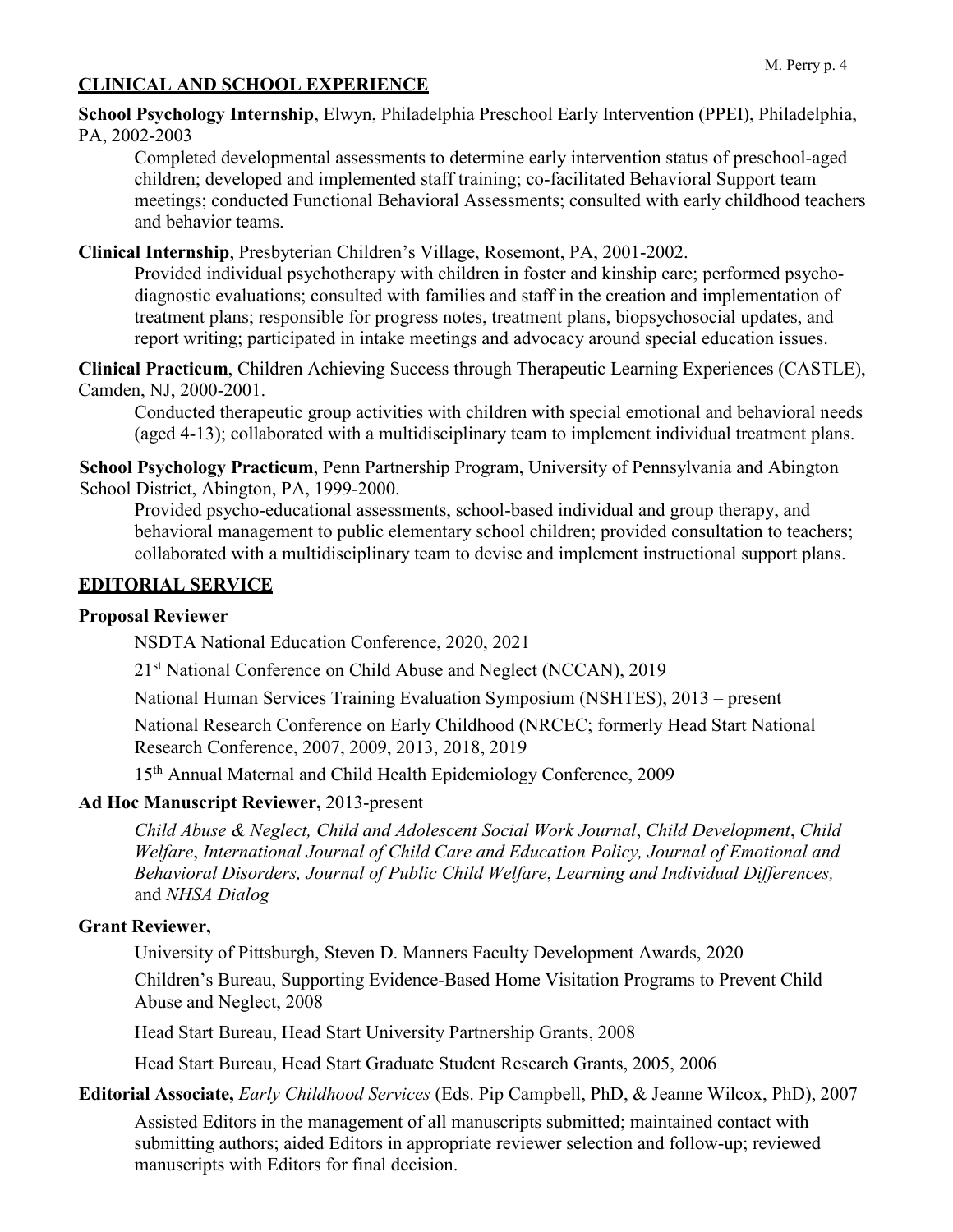# **CLINICAL AND SCHOOL EXPERIENCE**

**School Psychology Internship**, Elwyn, Philadelphia Preschool Early Intervention (PPEI), Philadelphia, PA, 2002-2003

Completed developmental assessments to determine early intervention status of preschool-aged children; developed and implemented staff training; co-facilitated Behavioral Support team meetings; conducted Functional Behavioral Assessments; consulted with early childhood teachers and behavior teams.

**Clinical Internship**, Presbyterian Children's Village, Rosemont, PA, 2001-2002.

Provided individual psychotherapy with children in foster and kinship care; performed psychodiagnostic evaluations; consulted with families and staff in the creation and implementation of treatment plans; responsible for progress notes, treatment plans, biopsychosocial updates, and report writing; participated in intake meetings and advocacy around special education issues.

**Clinical Practicum**, Children Achieving Success through Therapeutic Learning Experiences (CASTLE), Camden, NJ, 2000-2001.

Conducted therapeutic group activities with children with special emotional and behavioral needs (aged 4-13); collaborated with a multidisciplinary team to implement individual treatment plans.

**School Psychology Practicum**, Penn Partnership Program, University of Pennsylvania and Abington School District, Abington, PA, 1999-2000.

Provided psycho-educational assessments, school-based individual and group therapy, and behavioral management to public elementary school children; provided consultation to teachers; collaborated with a multidisciplinary team to devise and implement instructional support plans.

## **EDITORIAL SERVICE**

### **Proposal Reviewer**

NSDTA National Education Conference, 2020, 2021

21<sup>st</sup> National Conference on Child Abuse and Neglect (NCCAN), 2019

National Human Services Training Evaluation Symposium (NSHTES), 2013 – present

National Research Conference on Early Childhood (NRCEC; formerly Head Start National Research Conference, 2007, 2009, 2013, 2018, 2019

15th Annual Maternal and Child Health Epidemiology Conference, 2009

### **Ad Hoc Manuscript Reviewer,** 2013-present

*Child Abuse & Neglect, Child and Adolescent Social Work Journal*, *Child Development*, *Child Welfare*, *International Journal of Child Care and Education Policy, Journal of Emotional and Behavioral Disorders, Journal of Public Child Welfare*, *Learning and Individual Differences,*  and *NHSA Dialog*

### **Grant Reviewer,**

University of Pittsburgh, Steven D. Manners Faculty Development Awards, 2020 Children's Bureau, Supporting Evidence-Based Home Visitation Programs to Prevent Child Abuse and Neglect, 2008

Head Start Bureau, Head Start University Partnership Grants, 2008

Head Start Bureau, Head Start Graduate Student Research Grants, 2005, 2006

**Editorial Associate,** *Early Childhood Services* (Eds. Pip Campbell, PhD, & Jeanne Wilcox, PhD), 2007

Assisted Editors in the management of all manuscripts submitted; maintained contact with submitting authors; aided Editors in appropriate reviewer selection and follow-up; reviewed manuscripts with Editors for final decision.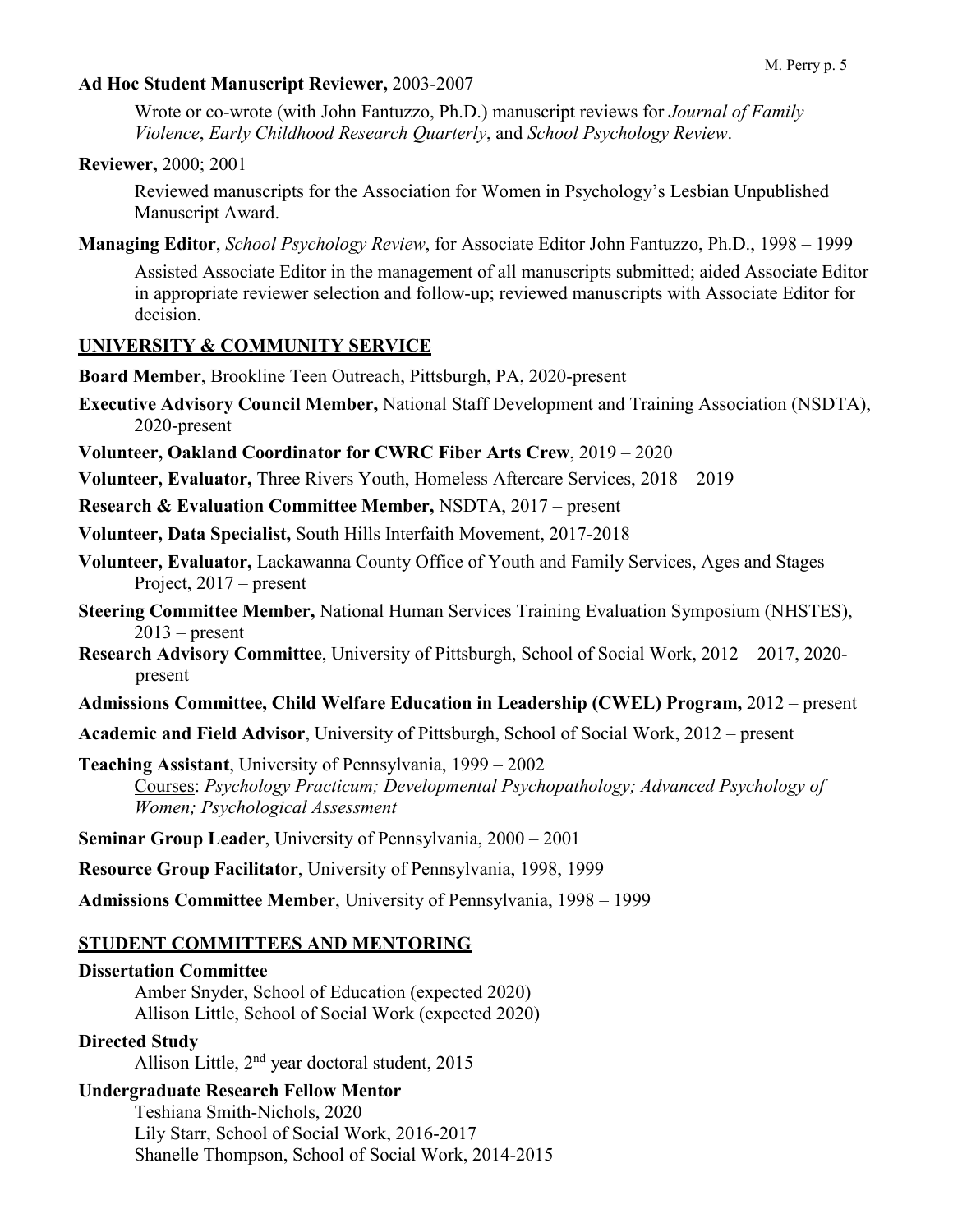#### **Ad Hoc Student Manuscript Reviewer,** 2003-2007

Wrote or co-wrote (with John Fantuzzo, Ph.D.) manuscript reviews for *Journal of Family Violence*, *Early Childhood Research Quarterly*, and *School Psychology Review*.

**Reviewer,** 2000; 2001

Reviewed manuscripts for the Association for Women in Psychology's Lesbian Unpublished Manuscript Award.

**Managing Editor**, *School Psychology Review*, for Associate Editor John Fantuzzo, Ph.D., 1998 – 1999

Assisted Associate Editor in the management of all manuscripts submitted; aided Associate Editor in appropriate reviewer selection and follow-up; reviewed manuscripts with Associate Editor for decision.

### **UNIVERSITY & COMMUNITY SERVICE**

**Board Member**, Brookline Teen Outreach, Pittsburgh, PA, 2020-present

**Executive Advisory Council Member,** National Staff Development and Training Association (NSDTA), 2020-present

**Volunteer, Oakland Coordinator for CWRC Fiber Arts Crew**, 2019 – 2020

**Volunteer, Evaluator,** Three Rivers Youth, Homeless Aftercare Services, 2018 – 2019

**Research & Evaluation Committee Member,** NSDTA, 2017 – present

**Volunteer, Data Specialist,** South Hills Interfaith Movement, 2017-2018

- **Volunteer, Evaluator,** Lackawanna County Office of Youth and Family Services, Ages and Stages Project, 2017 – present
- **Steering Committee Member,** National Human Services Training Evaluation Symposium (NHSTES),  $2013$  – present
- **Research Advisory Committee**, University of Pittsburgh, School of Social Work, 2012 2017, 2020 present

**Admissions Committee, Child Welfare Education in Leadership (CWEL) Program,** 2012 – present

**Academic and Field Advisor**, University of Pittsburgh, School of Social Work, 2012 – present

**Teaching Assistant**, University of Pennsylvania, 1999 – 2002 Courses: *Psychology Practicum; Developmental Psychopathology; Advanced Psychology of Women; Psychological Assessment*

**Seminar Group Leader**, University of Pennsylvania, 2000 – 2001

**Resource Group Facilitator**, University of Pennsylvania, 1998, 1999

**Admissions Committee Member**, University of Pennsylvania, 1998 – 1999

### **STUDENT COMMITTEES AND MENTORING**

#### **Dissertation Committee** Amber Snyder, School of Education (expected 2020) Allison Little, School of Social Work (expected 2020)

### **Directed Study**

Allison Little, 2<sup>nd</sup> year doctoral student, 2015

### **Undergraduate Research Fellow Mentor**

Teshiana Smith-Nichols, 2020 Lily Starr, School of Social Work, 2016-2017 Shanelle Thompson, School of Social Work, 2014-2015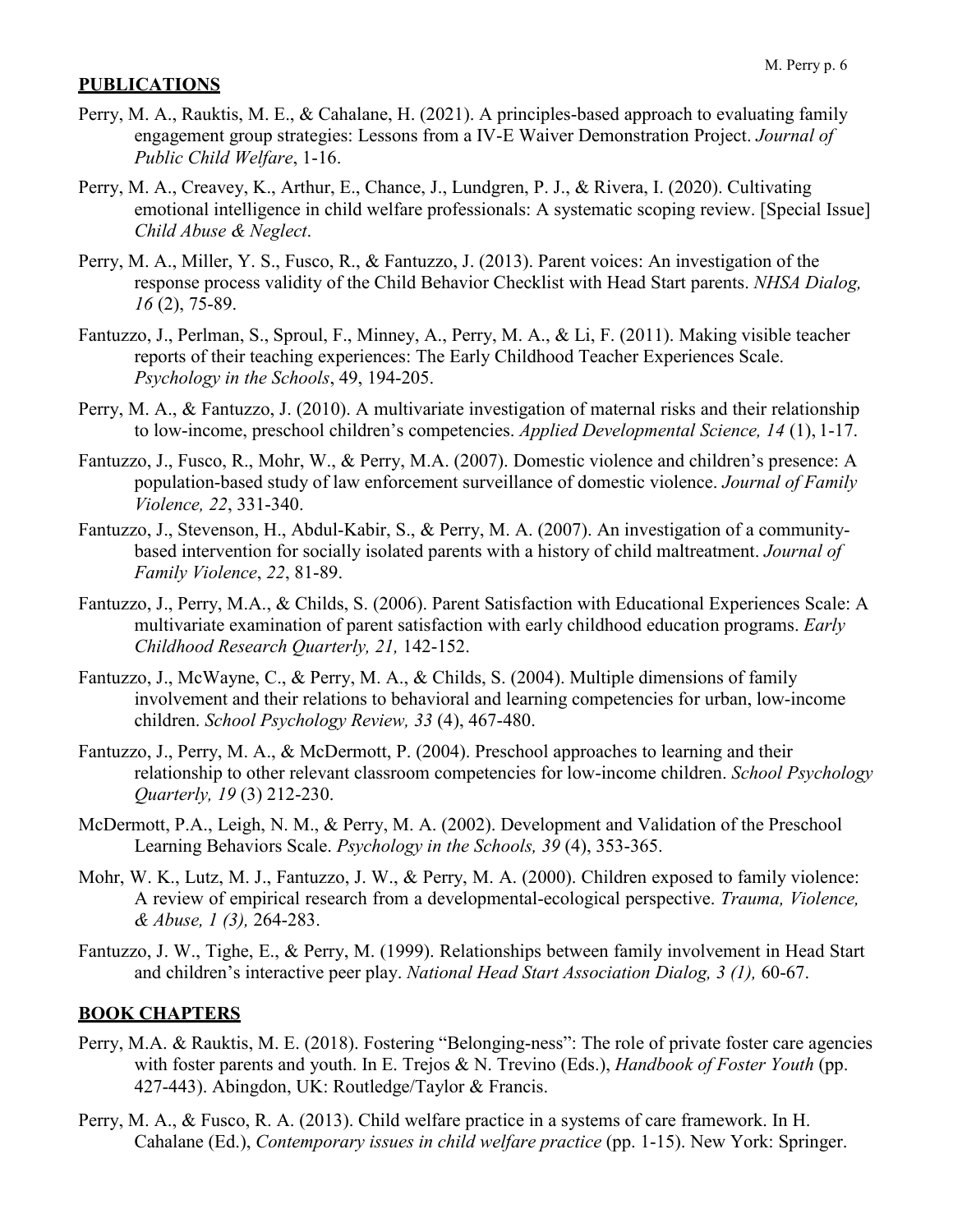### **PUBLICATIONS**

- Perry, M. A., Rauktis, M. E., & Cahalane, H. (2021). A principles-based approach to evaluating family engagement group strategies: Lessons from a IV-E Waiver Demonstration Project. *Journal of Public Child Welfare*, 1-16.
- Perry, M. A., Creavey, K., Arthur, E., Chance, J., Lundgren, P. J., & Rivera, I. (2020). Cultivating emotional intelligence in child welfare professionals: A systematic scoping review. [Special Issue] *Child Abuse & Neglect*.
- Perry, M. A., Miller, Y. S., Fusco, R., & Fantuzzo, J. (2013). Parent voices: An investigation of the response process validity of the Child Behavior Checklist with Head Start parents. *NHSA Dialog, 16* (2), 75-89.
- Fantuzzo, J., Perlman, S., Sproul, F., Minney, A., Perry, M. A., & Li, F. (2011). Making visible teacher reports of their teaching experiences: The Early Childhood Teacher Experiences Scale. *Psychology in the Schools*, 49, 194-205.
- Perry, M. A., & Fantuzzo, J. (2010). A multivariate investigation of maternal risks and their relationship to low-income, preschool children's competencies. *Applied Developmental Science, 14* (1), 1-17.
- Fantuzzo, J., Fusco, R., Mohr, W., & Perry, M.A. (2007). Domestic violence and children's presence: A population-based study of law enforcement surveillance of domestic violence. *Journal of Family Violence, 22*, 331-340.
- Fantuzzo, J., Stevenson, H., Abdul-Kabir, S., & Perry, M. A. (2007). An investigation of a communitybased intervention for socially isolated parents with a history of child maltreatment. *Journal of Family Violence*, *22*, 81-89.
- Fantuzzo, J., Perry, M.A., & Childs, S. (2006). Parent Satisfaction with Educational Experiences Scale: A multivariate examination of parent satisfaction with early childhood education programs. *Early Childhood Research Quarterly, 21,* 142-152.
- Fantuzzo, J., McWayne, C., & Perry, M. A., & Childs, S. (2004). Multiple dimensions of family involvement and their relations to behavioral and learning competencies for urban, low-income children. *School Psychology Review, 33* (4), 467-480.
- Fantuzzo, J., Perry, M. A., & McDermott, P. (2004). Preschool approaches to learning and their relationship to other relevant classroom competencies for low-income children. *School Psychology Quarterly, 19* (3) 212-230.
- McDermott, P.A., Leigh, N. M., & Perry, M. A. (2002). Development and Validation of the Preschool Learning Behaviors Scale. *Psychology in the Schools, 39* (4), 353-365.
- Mohr, W. K., Lutz, M. J., Fantuzzo, J. W., & Perry, M. A. (2000). Children exposed to family violence: A review of empirical research from a developmental-ecological perspective. *Trauma, Violence, & Abuse, 1 (3),* 264-283.
- Fantuzzo, J. W., Tighe, E., & Perry, M. (1999). Relationships between family involvement in Head Start and children's interactive peer play. *National Head Start Association Dialog, 3 (1),* 60-67.

### **BOOK CHAPTERS**

- Perry, M.A. & Rauktis, M. E. (2018). Fostering "Belonging-ness": The role of private foster care agencies with foster parents and youth. In E. Trejos & N. Trevino (Eds.), *Handbook of Foster Youth* (pp. 427-443). Abingdon, UK: Routledge/Taylor & Francis.
- Perry, M. A., & Fusco, R. A. (2013). Child welfare practice in a systems of care framework. In H. Cahalane (Ed.), *Contemporary issues in child welfare practice* (pp. 1-15). New York: Springer.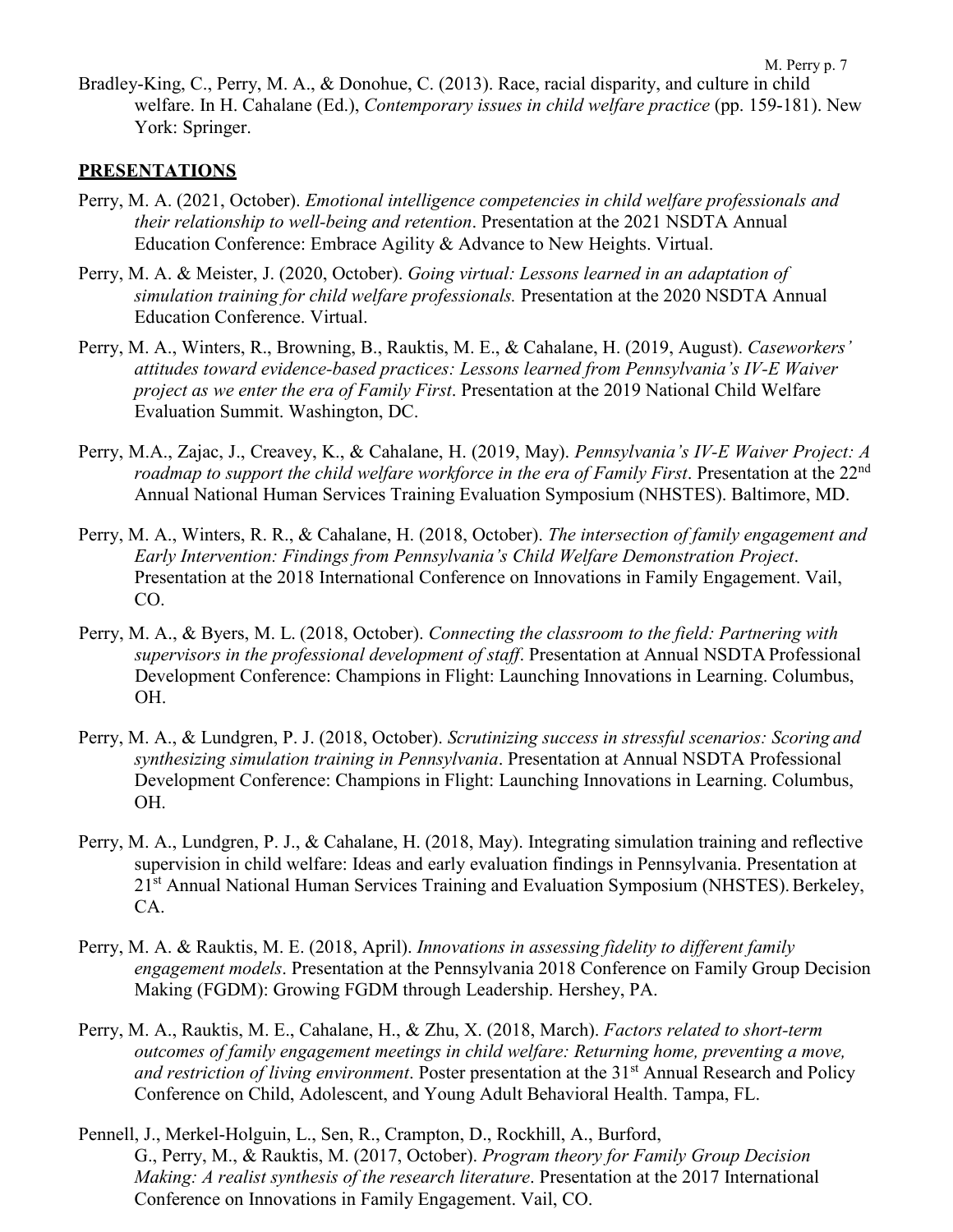Bradley-King, C., Perry, M. A., & Donohue, C. (2013). Race, racial disparity, and culture in child welfare. In H. Cahalane (Ed.), *Contemporary issues in child welfare practice* (pp. 159-181). New York: Springer.

### **PRESENTATIONS**

- Perry, M. A. (2021, October). *Emotional intelligence competencies in child welfare professionals and their relationship to well-being and retention*. Presentation at the 2021 NSDTA Annual Education Conference: Embrace Agility & Advance to New Heights. Virtual.
- Perry, M. A. & Meister, J. (2020, October). *Going virtual: Lessons learned in an adaptation of simulation training for child welfare professionals.* Presentation at the 2020 NSDTA Annual Education Conference. Virtual.
- Perry, M. A., Winters, R., Browning, B., Rauktis, M. E., & Cahalane, H. (2019, August). *Caseworkers' attitudes toward evidence-based practices: Lessons learned from Pennsylvania's IV-E Waiver project as we enter the era of Family First*. Presentation at the 2019 National Child Welfare Evaluation Summit. Washington, DC.
- Perry, M.A., Zajac, J., Creavey, K., & Cahalane, H. (2019, May). *Pennsylvania's IV-E Waiver Project: A roadmap to support the child welfare workforce in the era of Family First.* Presentation at the 22<sup>nd</sup> Annual National Human Services Training Evaluation Symposium (NHSTES). Baltimore, MD.
- Perry, M. A., Winters, R. R., & Cahalane, H. (2018, October). *The intersection of family engagement and Early Intervention: Findings from Pennsylvania's Child Welfare Demonstration Project*. Presentation at the 2018 International Conference on Innovations in Family Engagement. Vail, CO.
- Perry, M. A., & Byers, M. L. (2018, October). *Connecting the classroom to the field: Partnering with supervisors in the professional development of staff*. Presentation at Annual NSDTA Professional Development Conference: Champions in Flight: Launching Innovations in Learning. Columbus, OH.
- Perry, M. A., & Lundgren, P. J. (2018, October). *Scrutinizing success in stressful scenarios: Scoring and synthesizing simulation training in Pennsylvania*. Presentation at Annual NSDTA Professional Development Conference: Champions in Flight: Launching Innovations in Learning. Columbus, OH.
- Perry, M. A., Lundgren, P. J., & Cahalane, H. (2018, May). Integrating simulation training and reflective supervision in child welfare: Ideas and early evaluation findings in Pennsylvania. Presentation at 21<sup>st</sup> Annual National Human Services Training and Evaluation Symposium (NHSTES). Berkeley, CA.
- Perry, M. A. & Rauktis, M. E. (2018, April). *Innovations in assessing fidelity to different family engagement models*. Presentation at the Pennsylvania 2018 Conference on Family Group Decision Making (FGDM): Growing FGDM through Leadership. Hershey, PA.
- Perry, M. A., Rauktis, M. E., Cahalane, H., & Zhu, X. (2018, March). *Factors related to short-term outcomes of family engagement meetings in child welfare: Returning home, preventing a move, and restriction of living environment*. Poster presentation at the 31<sup>st</sup> Annual Research and Policy Conference on Child, Adolescent, and Young Adult Behavioral Health. Tampa, FL.
- Pennell, J., Merkel-Holguin, L., Sen, R., Crampton, D., Rockhill, A., Burford, G., Perry, M., & Rauktis, M. (2017, October). *Program theory for Family Group Decision Making: A realist synthesis of the research literature*. Presentation at the 2017 International Conference on Innovations in Family Engagement. Vail, CO.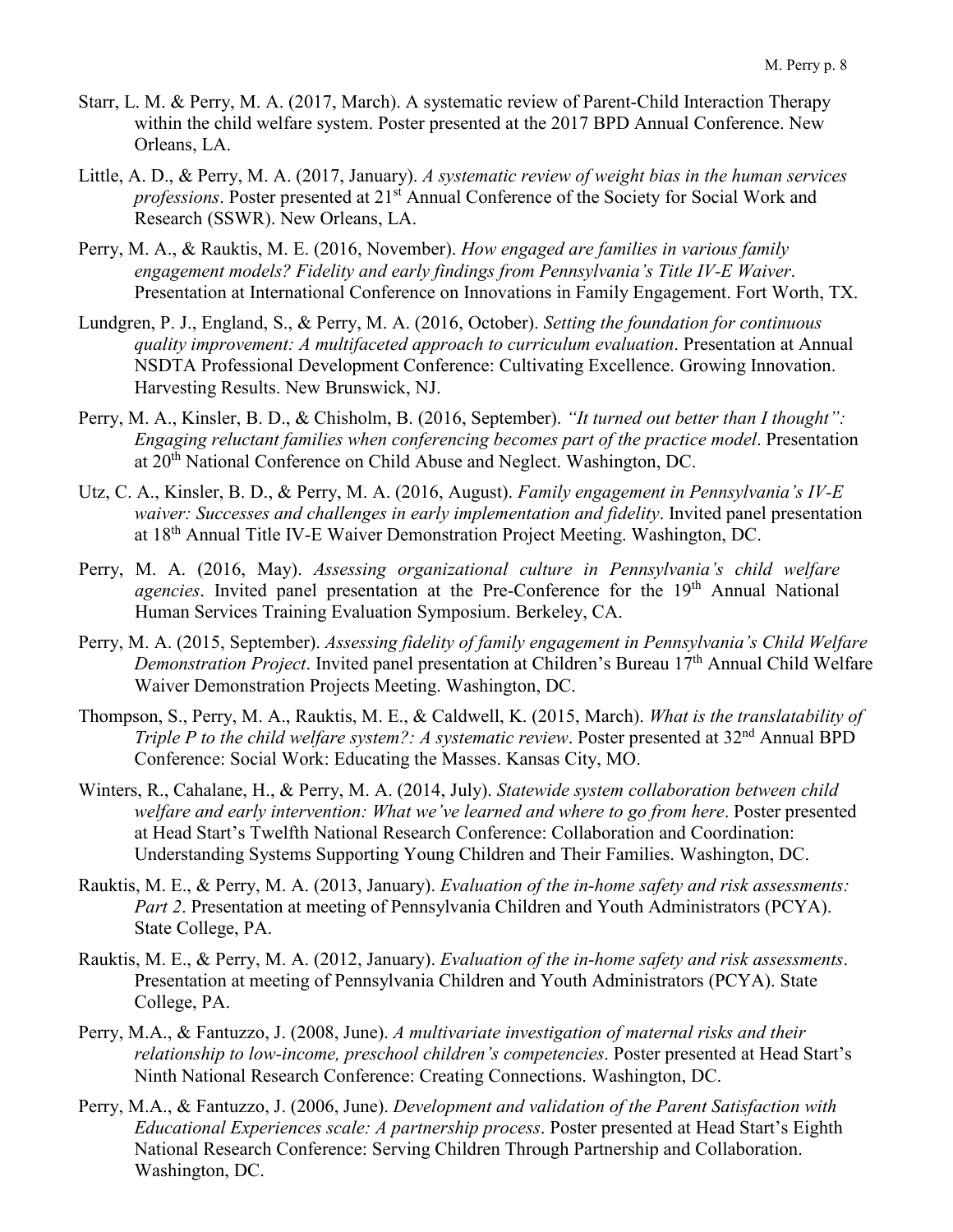- Starr, L. M. & Perry, M. A. (2017, March). A systematic review of Parent-Child Interaction Therapy within the child welfare system. Poster presented at the 2017 BPD Annual Conference. New Orleans, LA.
- Little, A. D., & Perry, M. A. (2017, January). *A systematic review of weight bias in the human services professions*. Poster presented at 21<sup>st</sup> Annual Conference of the Society for Social Work and Research (SSWR). New Orleans, LA.
- Perry, M. A., & Rauktis, M. E. (2016, November). *How engaged are families in various family engagement models? Fidelity and early findings from Pennsylvania's Title IV-E Waiver*. Presentation at International Conference on Innovations in Family Engagement. Fort Worth, TX.
- Lundgren, P. J., England, S., & Perry, M. A. (2016, October). *Setting the foundation for continuous quality improvement: A multifaceted approach to curriculum evaluation*. Presentation at Annual NSDTA Professional Development Conference: Cultivating Excellence. Growing Innovation. Harvesting Results. New Brunswick, NJ.
- Perry, M. A., Kinsler, B. D., & Chisholm, B. (2016, September). *"It turned out better than I thought": Engaging reluctant families when conferencing becomes part of the practice model*. Presentation at 20th National Conference on Child Abuse and Neglect. Washington, DC.
- Utz, C. A., Kinsler, B. D., & Perry, M. A. (2016, August). *Family engagement in Pennsylvania's IV-E waiver: Successes and challenges in early implementation and fidelity*. Invited panel presentation at 18th Annual Title IV-E Waiver Demonstration Project Meeting. Washington, DC.
- Perry, M. A. (2016, May). *Assessing organizational culture in Pennsylvania's child welfare agencies*. Invited panel presentation at the Pre-Conference for the 19th Annual National Human Services Training Evaluation Symposium. Berkeley, CA.
- Perry, M. A. (2015, September). *Assessing fidelity of family engagement in Pennsylvania's Child Welfare Demonstration Project*. Invited panel presentation at Children's Bureau 17th Annual Child Welfare Waiver Demonstration Projects Meeting. Washington, DC.
- Thompson, S., Perry, M. A., Rauktis, M. E., & Caldwell, K. (2015, March). *What is the translatability of Triple P to the child welfare system?: A systematic review. Poster presented at 32<sup>nd</sup> Annual BPD* Conference: Social Work: Educating the Masses. Kansas City, MO.
- Winters, R., Cahalane, H., & Perry, M. A. (2014, July). *Statewide system collaboration between child welfare and early intervention: What we've learned and where to go from here*. Poster presented at Head Start's Twelfth National Research Conference: Collaboration and Coordination: Understanding Systems Supporting Young Children and Their Families. Washington, DC.
- Rauktis, M. E., & Perry, M. A. (2013, January). *Evaluation of the in-home safety and risk assessments: Part 2*. Presentation at meeting of Pennsylvania Children and Youth Administrators (PCYA). State College, PA.
- Rauktis, M. E., & Perry, M. A. (2012, January). *Evaluation of the in-home safety and risk assessments*. Presentation at meeting of Pennsylvania Children and Youth Administrators (PCYA). State College, PA.
- Perry, M.A., & Fantuzzo, J. (2008, June). *A multivariate investigation of maternal risks and their relationship to low-income, preschool children's competencies*. Poster presented at Head Start's Ninth National Research Conference: Creating Connections. Washington, DC.
- Perry, M.A., & Fantuzzo, J. (2006, June). *Development and validation of the Parent Satisfaction with Educational Experiences scale: A partnership process*. Poster presented at Head Start's Eighth National Research Conference: Serving Children Through Partnership and Collaboration. Washington, DC.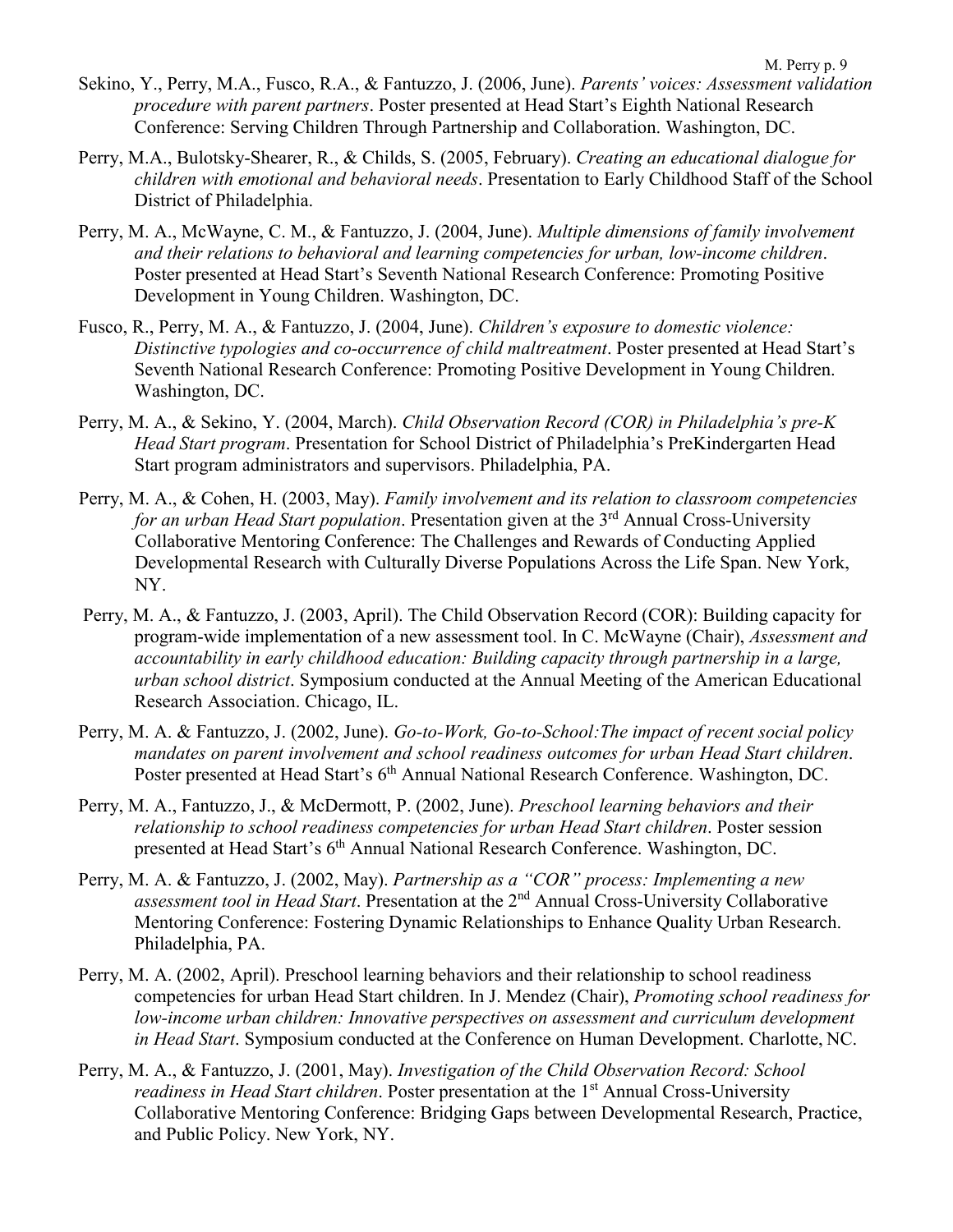- Perry, M.A., Bulotsky-Shearer, R., & Childs, S. (2005, February). *Creating an educational dialogue for children with emotional and behavioral needs*. Presentation to Early Childhood Staff of the School District of Philadelphia.
- Perry, M. A., McWayne, C. M., & Fantuzzo, J. (2004, June). *Multiple dimensions of family involvement and their relations to behavioral and learning competencies for urban, low-income children*. Poster presented at Head Start's Seventh National Research Conference: Promoting Positive Development in Young Children. Washington, DC.
- Fusco, R., Perry, M. A., & Fantuzzo, J. (2004, June). *Children's exposure to domestic violence: Distinctive typologies and co-occurrence of child maltreatment*. Poster presented at Head Start's Seventh National Research Conference: Promoting Positive Development in Young Children. Washington, DC.
- Perry, M. A., & Sekino, Y. (2004, March). *Child Observation Record (COR) in Philadelphia's pre-K Head Start program*. Presentation for School District of Philadelphia's PreKindergarten Head Start program administrators and supervisors. Philadelphia, PA.
- Perry, M. A., & Cohen, H. (2003, May). *Family involvement and its relation to classroom competencies for an urban Head Start population*. Presentation given at the 3<sup>rd</sup> Annual Cross-University Collaborative Mentoring Conference: The Challenges and Rewards of Conducting Applied Developmental Research with Culturally Diverse Populations Across the Life Span. New York, NY.
- Perry, M. A., & Fantuzzo, J. (2003, April). The Child Observation Record (COR): Building capacity for program-wide implementation of a new assessment tool. In C. McWayne (Chair), *Assessment and accountability in early childhood education: Building capacity through partnership in a large, urban school district*. Symposium conducted at the Annual Meeting of the American Educational Research Association. Chicago, IL.
- Perry, M. A. & Fantuzzo, J. (2002, June). *Go-to-Work, Go-to-School:The impact of recent social policy mandates on parent involvement and school readiness outcomes for urban Head Start children*. Poster presented at Head Start's 6<sup>th</sup> Annual National Research Conference. Washington, DC.
- Perry, M. A., Fantuzzo, J., & McDermott, P. (2002, June). *Preschool learning behaviors and their relationship to school readiness competencies for urban Head Start children*. Poster session presented at Head Start's 6th Annual National Research Conference. Washington, DC.
- Perry, M. A. & Fantuzzo, J. (2002, May). *Partnership as a "COR" process: Implementing a new assessment tool in Head Start*. Presentation at the 2nd Annual Cross-University Collaborative Mentoring Conference: Fostering Dynamic Relationships to Enhance Quality Urban Research. Philadelphia, PA.
- Perry, M. A. (2002, April). Preschool learning behaviors and their relationship to school readiness competencies for urban Head Start children. In J. Mendez (Chair), *Promoting school readiness for low-income urban children: Innovative perspectives on assessment and curriculum development in Head Start*. Symposium conducted at the Conference on Human Development. Charlotte, NC.
- Perry, M. A., & Fantuzzo, J. (2001, May). *Investigation of the Child Observation Record: School readiness in Head Start children*. Poster presentation at the 1<sup>st</sup> Annual Cross-University Collaborative Mentoring Conference: Bridging Gaps between Developmental Research, Practice, and Public Policy. New York, NY.